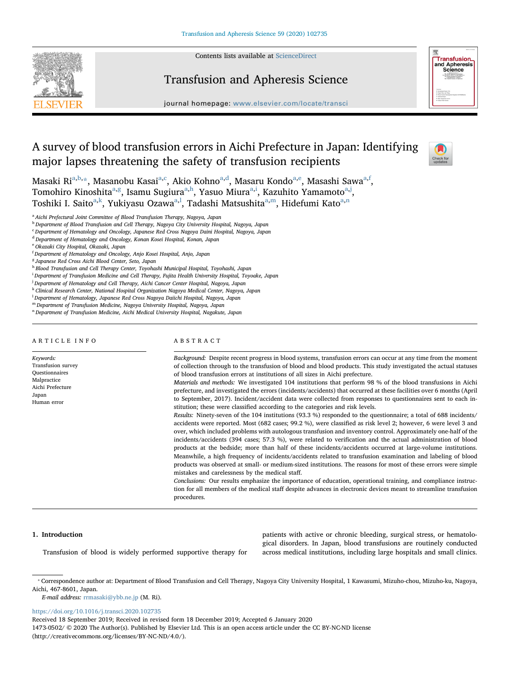

Contents lists available at [ScienceDirect](http://www.sciencedirect.com/science/journal/14730502)

# Transfusion and Apheresis Science



journal homepage: [www.elsevier.com/locate/transci](https://www.elsevier.com/locate/transci)

# A survey of blood transfusion errors in Aichi Prefecture in Japan: Identifying major lapses threatening the safety of transfusion recipients



M[a](#page-0-0)saki Ri $^{\rm a,b, \star}$  $^{\rm a,b, \star}$  $^{\rm a,b, \star}$ , Masanobu Kasai $^{\rm a,c}$  $^{\rm a,c}$  $^{\rm a,c}$ , Akio Kohno $^{\rm a,d}$  $^{\rm a,d}$  $^{\rm a,d}$ , Masaru Kondo $^{\rm a,e}$  $^{\rm a,e}$  $^{\rm a,e}$ , Masashi Sawa $^{\rm a,f}$  $^{\rm a,f}$  $^{\rm a,f}$  $^{\rm a,f}$ , Tomohiro Kinoshit[a](#page-0-0)<sup>a[,g](#page-0-7)</sup>, Isamu Sugiura<sup>a,[h](#page-0-8)</sup>, Yasuo Miura<sup>a[,i](#page-0-9)</sup>, Kazuhito Yamamoto<sup>[a,](#page-0-0)[j](#page-0-10)</sup>, Toshiki I. S[a](#page-0-0)ito<sup>a[,k](#page-0-11)</sup>, Yukiyasu Ozawa<sup>[a,](#page-0-0)[l](#page-0-12)</sup>, Tadashi Matsushita<sup>a,m</sup>, Hidefumi Kato<sup>a,[n](#page-0-14)</sup>

<span id="page-0-0"></span><sup>a</sup> Aichi Prefectural Joint Committee of Blood Transfusion Therapy, Nagoya, Japan

<span id="page-0-1"></span><sup>b</sup> Department of Blood Transfusion and Cell Therapy, Nagoya City University Hospital, Nagoya, Japan

<span id="page-0-3"></span><sup>c</sup> Department of Hematology and Oncology, Japanese Red Cross Nagoya Daini Hospital, Nagoya, Japan

<span id="page-0-4"></span><sup>d</sup> Department of Hematology and Oncology, Konan Kosei Hospital, Konan, Japan

<span id="page-0-5"></span><sup>e</sup> Okazaki City Hospital, Okazaki, Japan

<span id="page-0-7"></span><sup>g</sup> Japanese Red Cross Aichi Blood Center, Seto, Japan

<span id="page-0-8"></span>h Blood Transfusion and Cell Therapy Center, Toyohashi Municipal Hospital, Toyohashi, Japan

<span id="page-0-9"></span>i Department of Transfusion Medicine and Cell Therapy, Fujita Health University Hospital, Toyoake, Japan

<span id="page-0-10"></span><sup>j</sup> Department of Hematology and Cell Therapy, Aichi Cancer Center Hospital, Nagoya, Japan

<span id="page-0-11"></span><sup>k</sup> Clinical Research Center, National Hospital Organization Nagoya Medical Center, Nagoya, Japan

<span id="page-0-12"></span> $^{\rm l}$  Department of Hematology, Japanese Red Cross Nagoya Daiichi Hospital, Nagoya, Japan

<span id="page-0-13"></span><sup>m</sup> Department of Transfusion Medicine, Nagoya University Hospital, Nagoya, Japan

<span id="page-0-14"></span><sup>n</sup> Department of Transfusion Medicine, Aichi Medical University Hospital, Nagakute, Japan

#### ARTICLE INFO

#### Keywords: Transfusion survey Questionnaires Malpractice Aichi Prefecture Japan Human error

## ABSTRACT

Background: Despite recent progress in blood systems, transfusion errors can occur at any time from the moment of collection through to the transfusion of blood and blood products. This study investigated the actual statuses of blood transfusion errors at institutions of all sizes in Aichi prefecture.

Materials and methods: We investigated 104 institutions that perform 98 % of the blood transfusions in Aichi prefecture, and investigated the errors (incidents/accidents) that occurred at these facilities over 6 months (April to September, 2017). Incident/accident data were collected from responses to questionnaires sent to each institution; these were classified according to the categories and risk levels.

Results: Ninety-seven of the 104 institutions (93.3 %) responded to the questionnaire; a total of 688 incidents/ accidents were reported. Most (682 cases; 99.2 %), were classified as risk level 2; however, 6 were level 3 and over, which included problems with autologous transfusion and inventory control. Approximately one-half of the incidents/accidents (394 cases; 57.3 %), were related to verification and the actual administration of blood products at the bedside; more than half of these incidents/accidents occurred at large-volume institutions. Meanwhile, a high frequency of incidents/accidents related to transfusion examination and labeling of blood products was observed at small- or medium-sized institutions. The reasons for most of these errors were simple mistakes and carelessness by the medical staff.

Conclusions: Our results emphasize the importance of education, operational training, and compliance instruction for all members of the medical staff despite advances in electronic devices meant to streamline transfusion procedures.

# 1. Introduction

Transfusion of blood is widely performed supportive therapy for

patients with active or chronic bleeding, surgical stress, or hematological disorders. In Japan, blood transfusions are routinely conducted across medical institutions, including large hospitals and small clinics.

E-mail address: [rrmasaki@ybb.ne.jp](mailto:rrmasaki@ybb.ne.jp) (M. Ri).

<https://doi.org/10.1016/j.transci.2020.102735>

Received 18 September 2019; Received in revised form 18 December 2019; Accepted 6 January 2020 1473-0502/ © 2020 The Author(s). Published by Elsevier Ltd. This is an open access article under the CC BY-NC-ND license (http://creativecommons.org/licenses/BY-NC-ND/4.0/).

<span id="page-0-6"></span><sup>&</sup>lt;sup>f</sup> Department of Hematology and Oncology, Anjo Kosei Hospital, Anjo, Japan

<span id="page-0-2"></span><sup>⁎</sup> Correspondence author at: Department of Blood Transfusion and Cell Therapy, Nagoya City University Hospital, 1 Kawasumi, Mizuho-chou, Mizuho-ku, Nagoya, Aichi, 467-8601, Japan.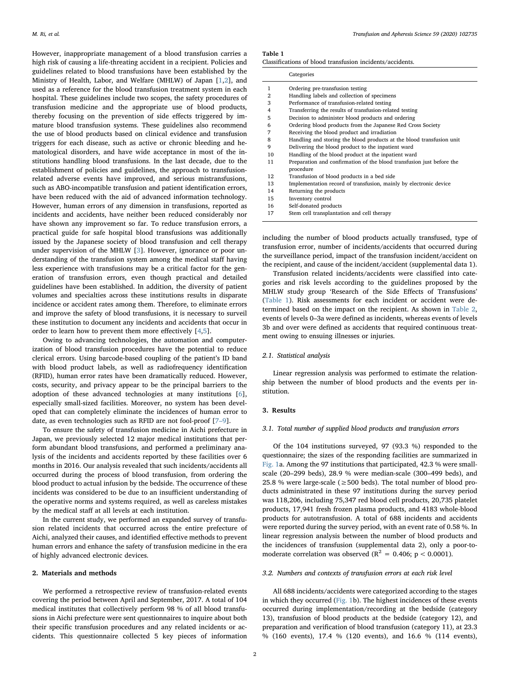However, inappropriate management of a blood transfusion carries a high risk of causing a life-threating accident in a recipient. Policies and guidelines related to blood transfusions have been established by the Ministry of Health, Labor, and Welfare (MHLW) of Japan [\[1,](#page-5-0)[2\]](#page-5-1), and used as a reference for the blood transfusion treatment system in each hospital. These guidelines include two scopes, the safety procedures of transfusion medicine and the appropriate use of blood products, thereby focusing on the prevention of side effects triggered by immature blood transfusion systems. These guidelines also recommend the use of blood products based on clinical evidence and transfusion triggers for each disease, such as active or chronic bleeding and hematological disorders, and have wide acceptance in most of the institutions handling blood transfusions. In the last decade, due to the establishment of policies and guidelines, the approach to transfusionrelated adverse events have improved, and serious mistransfusions, such as ABO-incompatible transfusion and patient identification errors, have been reduced with the aid of advanced information technology. However, human errors of any dimension in transfusions, reported as incidents and accidents, have neither been reduced considerably nor have shown any improvement so far. To reduce transfusion errors, a practical guide for safe hospital blood transfusions was additionally issued by the Japanese society of blood transfusion and cell therapy under supervision of the MHLW [[3](#page-5-2)]. However, ignorance or poor understanding of the transfusion system among the medical staff having less experience with transfusions may be a critical factor for the generation of transfusion errors, even though practical and detailed guidelines have been established. In addition, the diversity of patient volumes and specialties across these institutions results in disparate incidence or accident rates among them. Therefore, to eliminate errors and improve the safety of blood transfusions, it is necessary to surveil these institution to document any incidents and accidents that occur in order to learn how to prevent them more effectively [[4](#page-5-3)[,5\]](#page-5-4).

Owing to advancing technologies, the automation and computerization of blood transfusion procedures have the potential to reduce clerical errors. Using barcode-based coupling of the patient's ID band with blood product labels, as well as radiofrequency identification (RFID), human error rates have been dramatically reduced. However, costs, security, and privacy appear to be the principal barriers to the adoption of these advanced technologies at many institutions [[6](#page-5-5)], especially small-sized facilities. Moreover, no system has been developed that can completely eliminate the incidences of human error to date, as even technologies such as RFID are not fool-proof [\[7](#page-5-6)–9].

To ensure the safety of transfusion medicine in Aichi prefecture in Japan, we previously selected 12 major medical institutions that perform abundant blood transfusions, and performed a preliminary analysis of the incidents and accidents reported by these facilities over 6 months in 2016. Our analysis revealed that such incidents/accidents all occurred during the process of blood transfusion, from ordering the blood product to actual infusion by the bedside. The occurrence of these incidents was considered to be due to an insufficient understanding of the operative norms and systems required, as well as careless mistakes by the medical staff at all levels at each institution.

In the current study, we performed an expanded survey of transfusion related incidents that occurred across the entire prefecture of Aichi, analyzed their causes, and identified effective methods to prevent human errors and enhance the safety of transfusion medicine in the era of highly advanced electronic devices.

## 2. Materials and methods

We performed a retrospective review of transfusion-related events covering the period between April and September, 2017. A total of 104 medical institutes that collectively perform 98 % of all blood transfusions in Aichi prefecture were sent questionnaires to inquire about both their specific transfusion procedures and any related incidents or accidents. This questionnaire collected 5 key pieces of information

#### <span id="page-1-0"></span>Table 1

| Classifications of blood transfusion incidents/accidents. |
|-----------------------------------------------------------|
|-----------------------------------------------------------|

|                | Categories                                                            |
|----------------|-----------------------------------------------------------------------|
| 1              | Ordering pre-transfusion testing                                      |
| $\overline{2}$ | Handling labels and collection of specimens                           |
| 3              | Performance of transfusion-related testing                            |
| 4              | Transferring the results of transfusion-related testing               |
| 5              | Decision to administer blood products and ordering                    |
| 6              | Ordering blood products from the Japanese Red Cross Society           |
| 7              | Receiving the blood product and irradiation                           |
| 8              | Handling and storing the blood products at the blood transfusion unit |
| 9              | Delivering the blood product to the inpatient ward                    |
| 10             | Handling of the blood product at the inpatient ward                   |
| 11             | Preparation and confirmation of the blood transfusion just before the |
|                | procedure                                                             |
| 12             | Transfusion of blood products in a bed side                           |
| 13             | Implementation record of transfusion, mainly by electronic device     |
| 14             | Returning the products                                                |
| 15             | Inventory control                                                     |
| 16             | Self-donated products                                                 |
| 17             | Stem cell transplantation and cell therapy                            |

including the number of blood products actually transfused, type of transfusion error, number of incidents/accidents that occurred during the surveillance period, impact of the transfusion incident/accident on the recipient, and cause of the incident/accident (supplemental data 1).

Transfusion related incidents/accidents were classified into categories and risk levels according to the guidelines proposed by the MHLW study group 'Research of the Side Effects of Transfusions' ([Table 1\)](#page-1-0). Risk assessments for each incident or accident were determined based on the impact on the recipient. As shown in [Table 2](#page-2-0), events of levels 0–3a were defined as incidents, whereas events of levels 3b and over were defined as accidents that required continuous treatment owing to ensuing illnesses or injuries.

#### 2.1. Statistical analysis

Linear regression analysis was performed to estimate the relationship between the number of blood products and the events per institution.

#### 3. Results

## 3.1. Total number of supplied blood products and transfusion errors

Of the 104 institutions surveyed, 97 (93.3 %) responded to the questionnaire; the sizes of the responding facilities are summarized in [Fig. 1](#page-2-1)a. Among the 97 institutions that participated, 42.3 % were smallscale (20–299 beds), 28.9 % were median-scale (300–499 beds), and 25.8 % were large-scale ( $\geq$  500 beds). The total number of blood products administrated in these 97 institutions during the survey period was 118,206, including 75,347 red blood cell products, 20,735 platelet products, 17,941 fresh frozen plasma products, and 4183 whole-blood products for autotransfusion. A total of 688 incidents and accidents were reported during the survey period, with an event rate of 0.58 %. In linear regression analysis between the number of blood products and the incidences of transfusion (supplemental data 2), only a poor-tomoderate correlation was observed ( $R^2 = 0.406$ ;  $p < 0.0001$ ).

## 3.2. Numbers and contexts of transfusion errors at each risk level

All 688 incidents/accidents were categorized according to the stages in which they occurred ([Fig. 1](#page-2-1)b). The highest incidences of these events occurred during implementation/recording at the bedside (category 13), transfusion of blood products at the bedside (category 12), and preparation and verification of blood transfusion (category 11), at 23.3 % (160 events), 17.4 % (120 events), and 16.6 % (114 events),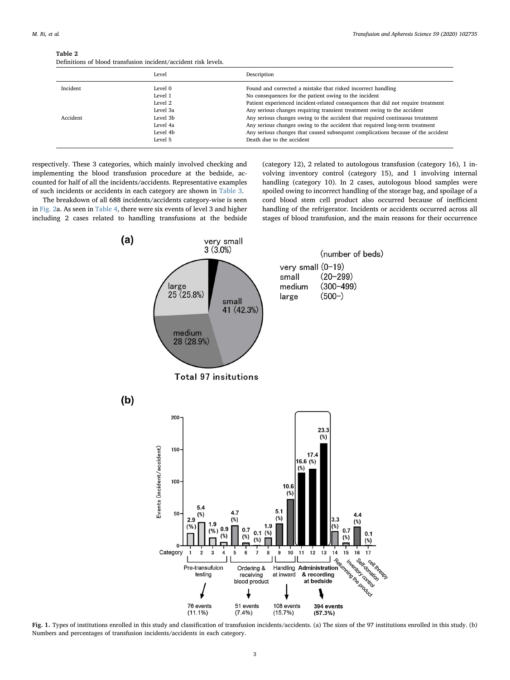<span id="page-2-0"></span>

| Table 2 |                                                                 |
|---------|-----------------------------------------------------------------|
|         | Definitions of blood transfusion incident/accident risk levels. |

|          | Level    | Description                                                                      |
|----------|----------|----------------------------------------------------------------------------------|
| Incident | Level 0  | Found and corrected a mistake that risked incorrect handling                     |
|          | Level 1  | No consequences for the patient owing to the incident                            |
|          | Level 2  | Patient experienced incident-related consequences that did not require treatment |
|          | Level 3a | Any serious changes requiring transient treatment owing to the accident          |
| Accident | Level 3b | Any serious changes owing to the accident that required continuous treatment     |
|          | Level 4a | Any serious changes owing to the accident that required long-term treatment      |
|          | Level 4b | Any serious changes that caused subsequent complications because of the accident |
|          | Level 5  | Death due to the accident                                                        |
|          |          |                                                                                  |

respectively. These 3 categories, which mainly involved checking and implementing the blood transfusion procedure at the bedside, accounted for half of all the incidents/accidents. Representative examples of such incidents or accidents in each category are shown in [Table 3.](#page-3-0)

<span id="page-2-1"></span>The breakdown of all 688 incidents/accidents category-wise is seen in [Fig. 2](#page-3-1)a. As seen in [Table 4](#page-4-0), there were six events of level 3 and higher including 2 cases related to handling transfusions at the bedside (category 12), 2 related to autologous transfusion (category 16), 1 involving inventory control (category 15), and 1 involving internal handling (category 10). In 2 cases, autologous blood samples were spoiled owing to incorrect handling of the storage bag, and spoilage of a cord blood stem cell product also occurred because of inefficient handling of the refrigerator. Incidents or accidents occurred across all stages of blood transfusion, and the main reasons for their occurrence



Fig. 1. Types of institutions enrolled in this study and classification of transfusion incidents/accidents. (a) The sizes of the 97 institutions enrolled in this study. (b) Numbers and percentages of transfusion incidents/accidents in each category.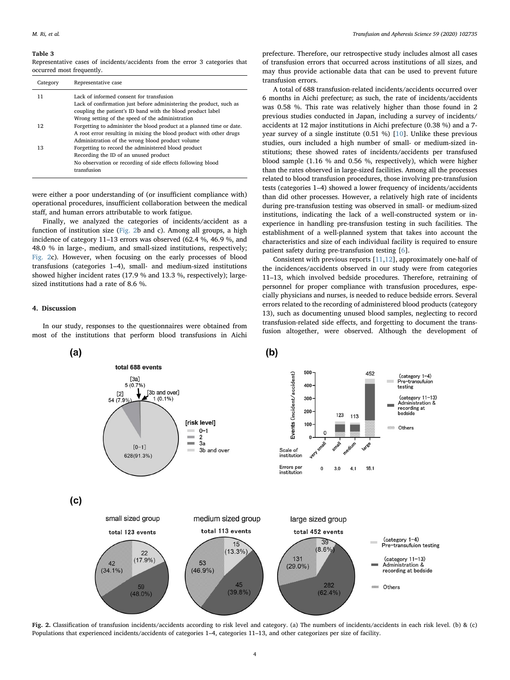#### <span id="page-3-0"></span>Table 3

Representative cases of incidents/accidents from the error 3 categories that occurred most frequently.

| Category | Representative case                                                   |
|----------|-----------------------------------------------------------------------|
| 11       | Lack of informed consent for transfusion                              |
|          | Lack of confirmation just before administering the product, such as   |
|          | coupling the patient's ID band with the blood product label           |
|          | Wrong setting of the speed of the administration                      |
| 12       | Forgetting to administer the blood product at a planned time or date. |
|          | A root error resulting in mixing the blood product with other drugs   |
|          | Administration of the wrong blood product volume                      |
| 13       | Forgetting to record the administered blood product                   |
|          | Recording the ID of an unused product                                 |
|          | No observation or recording of side effects following blood           |
|          | transfusion                                                           |
|          |                                                                       |

were either a poor understanding of (or insufficient compliance with) operational procedures, insufficient collaboration between the medical staff, and human errors attributable to work fatigue.

Finally, we analyzed the categories of incidents/accident as a function of institution size [\(Fig. 2](#page-3-1)b and c). Among all groups, a high incidence of category 11–13 errors was observed (62.4 %, 46.9 %, and 48.0 % in large-, medium, and small-sized institutions, respectively; [Fig. 2c](#page-3-1)). However, when focusing on the early processes of blood transfusions (categories 1–4), small- and medium-sized institutions showed higher incident rates (17.9 % and 13.3 %, respectively); largesized institutions had a rate of 8.6 %.

#### 4. Discussion

<span id="page-3-1"></span>In our study, responses to the questionnaires were obtained from most of the institutions that perform blood transfusions in Aichi

prefecture. Therefore, our retrospective study includes almost all cases of transfusion errors that occurred across institutions of all sizes, and may thus provide actionable data that can be used to prevent future transfusion errors.

A total of 688 transfusion-related incidents/accidents occurred over 6 months in Aichi prefecture; as such, the rate of incidents/accidents was 0.58 %. This rate was relatively higher than those found in 2 previous studies conducted in Japan, including a survey of incidents/ accidents at 12 major institutions in Aichi prefecture (0.38 %) and a 7 year survey of a single institute (0.51 %) [\[10](#page-5-7)]. Unlike these previous studies, ours included a high number of small- or medium-sized institutions; these showed rates of incidents/accidents per transfused blood sample (1.16 % and 0.56 %, respectively), which were higher than the rates observed in large-sized facilities. Among all the processes related to blood transfusion procedures, those involving pre-transfusion tests (categories 1–4) showed a lower frequency of incidents/accidents than did other processes. However, a relatively high rate of incidents during pre-transfusion testing was observed in small- or medium-sized institutions, indicating the lack of a well-constructed system or inexperience in handling pre-transfusion testing in such facilities. The establishment of a well-planned system that takes into account the characteristics and size of each individual facility is required to ensure patient safety during pre-transfusion testing [[6](#page-5-5)].

Consistent with previous reports [[11,](#page-5-8)[12\]](#page-5-9), approximately one-half of the incidences/accidents observed in our study were from categories 11–13, which involved bedside procedures. Therefore, retraining of personnel for proper compliance with transfusion procedures, especially physicians and nurses, is needed to reduce bedside errors. Several errors related to the recording of administered blood products (category 13), such as documenting unused blood samples, neglecting to record transfusion-related side effects, and forgetting to document the transfusion altogether, were observed. Although the development of



Fig. 2. Classification of transfusion incidents/accidents according to risk level and category. (a) The numbers of incidents/accidents in each risk level. (b) & (c) Populations that experienced incidents/accidents of categories 1–4, categories 11–13, and other categorizes per size of facility.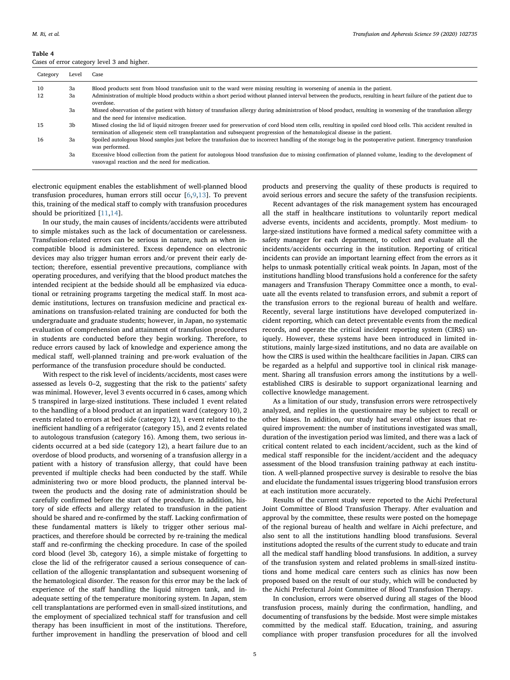#### <span id="page-4-0"></span>Table 4

Cases of error category level 3 and higher.

| Category | Level | Case                                                                                                                                                                                                                                                                                              |
|----------|-------|---------------------------------------------------------------------------------------------------------------------------------------------------------------------------------------------------------------------------------------------------------------------------------------------------|
| 10       | 3a    | Blood products sent from blood transfusion unit to the ward were missing resulting in worsening of anemia in the patient.                                                                                                                                                                         |
| 12       | 3a    | Administration of multiple blood products within a short period without planned interval between the products, resulting in heart failure of the patient due to<br>overdose.                                                                                                                      |
|          | 3a    | Missed observation of the patient with history of transfusion allergy during administration of blood product, resulting in worsening of the transfusion allergy<br>and the need for intensive medication.                                                                                         |
| 15       | 3b    | Missed closing the lid of liquid nitrogen freezer used for preservation of cord blood stem cells, resulting in spoiled cord blood cells. This accident resulted in<br>termination of allogeneic stem cell transplantation and subsequent progression of the hematological disease in the patient. |
| 16       | 3a    | Spoiled autologous blood samples just before the transfusion due to incorrect handling of the storage bag in the postoperative patient. Emergency transfusion<br>was performed.                                                                                                                   |
|          | 3a    | Excessive blood collection from the patient for autologous blood transfusion due to missing confirmation of planned volume, leading to the development of<br>vasovagal reaction and the need for medication.                                                                                      |

electronic equipment enables the establishment of well-planned blood transfusion procedures, human errors still occur [\[6,](#page-5-5)[9](#page-5-10),[13\]](#page-5-11). To prevent this, training of the medical staff to comply with transfusion procedures should be prioritized [[11,](#page-5-8)[14\]](#page-5-12).

In our study, the main causes of incidents/accidents were attributed to simple mistakes such as the lack of documentation or carelessness. Transfusion-related errors can be serious in nature, such as when incompatible blood is administered. Excess dependence on electronic devices may also trigger human errors and/or prevent their early detection; therefore, essential preventive precautions, compliance with operating procedures, and verifying that the blood product matches the intended recipient at the bedside should all be emphasized via educational or retraining programs targeting the medical staff. In most academic institutions, lectures on transfusion medicine and practical examinations on transfusion-related training are conducted for both the undergraduate and graduate students; however, in Japan, no systematic evaluation of comprehension and attainment of transfusion procedures in students are conducted before they begin working. Therefore, to reduce errors caused by lack of knowledge and experience among the medical staff, well-planned training and pre-work evaluation of the performance of the transfusion procedure should be conducted.

With respect to the risk level of incidents/accidents, most cases were assessed as levels 0–2, suggesting that the risk to the patients' safety was minimal. However, level 3 events occurred in 6 cases, among which 5 transpired in large-sized institutions. These included 1 event related to the handling of a blood product at an inpatient ward (category 10), 2 events related to errors at bed side (category 12), 1 event related to the inefficient handling of a refrigerator (category 15), and 2 events related to autologous transfusion (category 16). Among them, two serious incidents occurred at a bed side (category 12), a heart failure due to an overdose of blood products, and worsening of a transfusion allergy in a patient with a history of transfusion allergy, that could have been prevented if multiple checks had been conducted by the staff. While administering two or more blood products, the planned interval between the products and the dosing rate of administration should be carefully confirmed before the start of the procedure. In addition, history of side effects and allergy related to transfusion in the patient should be shared and re-confirmed by the staff. Lacking confirmation of these fundamental matters is likely to trigger other serious malpractices, and therefore should be corrected by re-training the medical staff and re-confirming the checking procedure. In case of the spoiled cord blood (level 3b, category 16), a simple mistake of forgetting to close the lid of the refrigerator caused a serious consequence of cancellation of the allogenic transplantation and subsequent worsening of the hematological disorder. The reason for this error may be the lack of experience of the staff handling the liquid nitrogen tank, and inadequate setting of the temperature monitoring system. In Japan, stem cell transplantations are performed even in small-sized institutions, and the employment of specialized technical staff for transfusion and cell therapy has been insufficient in most of the institutions. Therefore, further improvement in handling the preservation of blood and cell

products and preserving the quality of these products is required to avoid serious errors and secure the safety of the transfusion recipients.

Recent advantages of the risk management system has encouraged all the staff in healthcare institutions to voluntarily report medical adverse events, incidents and accidents, promptly. Most medium- to large-sized institutions have formed a medical safety committee with a safety manager for each department, to collect and evaluate all the incidents/accidents occurring in the institution. Reporting of critical incidents can provide an important learning effect from the errors as it helps to unmask potentially critical weak points. In Japan, most of the institutions handling blood transfusions hold a conference for the safety managers and Transfusion Therapy Committee once a month, to evaluate all the events related to transfusion errors, and submit a report of the transfusion errors to the regional bureau of health and welfare. Recently, several large institutions have developed computerized incident reporting, which can detect preventable events from the medical records, and operate the critical incident reporting system (CIRS) uniquely. However, these systems have been introduced in limited institutions, mainly large-sized institutions, and no data are available on how the CIRS is used within the healthcare facilities in Japan. CIRS can be regarded as a helpful and supportive tool in clinical risk management. Sharing all transfusion errors among the institutions by a wellestablished CIRS is desirable to support organizational learning and collective knowledge management.

As a limitation of our study, transfusion errors were retrospectively analyzed, and replies in the questionnaire may be subject to recall or other biases. In addition, our study had several other issues that required improvement: the number of institutions investigated was small, duration of the investigation period was limited, and there was a lack of critical content related to each incident/accident, such as the kind of medical staff responsible for the incident/accident and the adequacy assessment of the blood transfusion training pathway at each institution. A well-planned prospective survey is desirable to resolve the bias and elucidate the fundamental issues triggering blood transfusion errors at each institution more accurately.

Results of the current study were reported to the Aichi Prefectural Joint Committee of Blood Transfusion Therapy. After evaluation and approval by the committee, these results were posted on the homepage of the regional bureau of health and welfare in Aichi prefecture, and also sent to all the institutions handling blood transfusions. Several institutions adopted the results of the current study to educate and train all the medical staff handling blood transfusions. In addition, a survey of the transfusion system and related problems in small-sized institutions and home medical care centers such as clinics has now been proposed based on the result of our study, which will be conducted by the Aichi Prefectural Joint Committee of Blood Transfusion Therapy.

In conclusion, errors were observed during all stages of the blood transfusion process, mainly during the confirmation, handling, and documenting of transfusions by the bedside. Most were simple mistakes committed by the medical staff. Education, training, and assuring compliance with proper transfusion procedures for all the involved